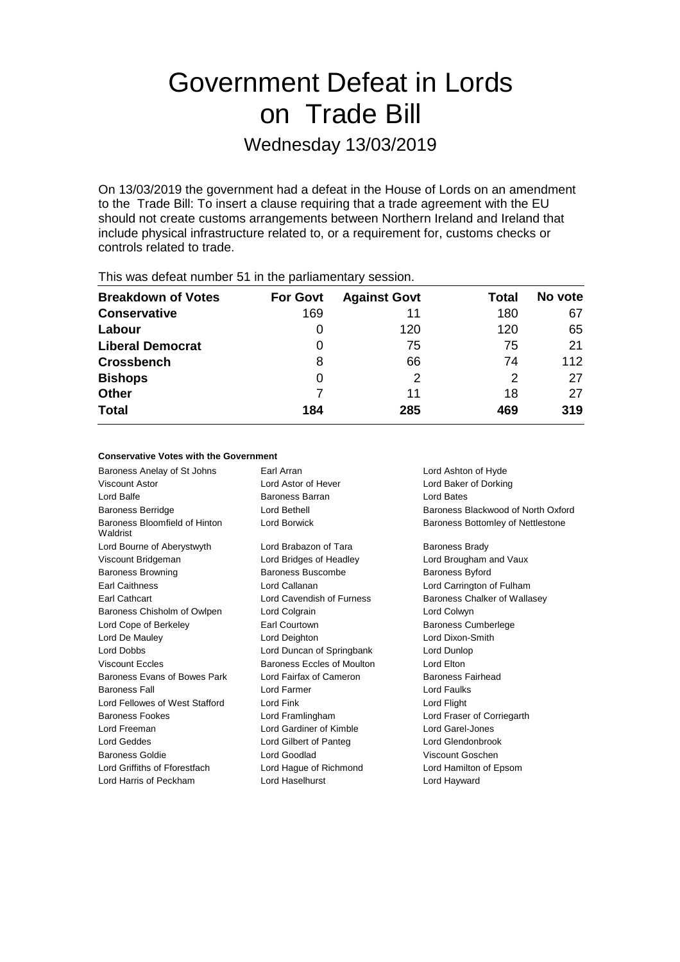# Government Defeat in Lords on Trade Bill

## Wednesday 13/03/2019

On 13/03/2019 the government had a defeat in the House of Lords on an amendment to the Trade Bill: To insert a clause requiring that a trade agreement with the EU should not create customs arrangements between Northern Ireland and Ireland that include physical infrastructure related to, or a requirement for, customs checks or controls related to trade.

| This mas actournantique of in the partial format possesion. |                 |                     |              |         |  |
|-------------------------------------------------------------|-----------------|---------------------|--------------|---------|--|
| <b>Breakdown of Votes</b>                                   | <b>For Govt</b> | <b>Against Govt</b> | <b>Total</b> | No vote |  |
| <b>Conservative</b>                                         | 169             | 11                  | 180          | 67      |  |
| Labour                                                      | 0               | 120                 | 120          | 65      |  |
| <b>Liberal Democrat</b>                                     | 0               | 75                  | 75           | 21      |  |
| <b>Crossbench</b>                                           | 8               | 66                  | 74           | 112     |  |
| <b>Bishops</b>                                              | 0               | 2                   | 2            | 27      |  |
| <b>Other</b>                                                |                 | 11                  | 18           | 27      |  |
| <b>Total</b>                                                | 184             | 285                 | 469          | 319     |  |
|                                                             |                 |                     |              |         |  |

This was defeat number 51 in the parliamentary session.

### **Conservative Votes with the Government**

| Baroness Anelay of St Johns               | Earl Arran<br>Lord Ashton of Hyde |                                    |
|-------------------------------------------|-----------------------------------|------------------------------------|
| Viscount Astor                            | Lord Astor of Hever               | Lord Baker of Dorking              |
| Lord Balfe                                | Baroness Barran                   | Lord Bates                         |
| <b>Baroness Berridge</b>                  | Lord Bethell                      | Baroness Blackwood of North Oxford |
| Baroness Bloomfield of Hinton<br>Waldrist | Lord Borwick                      | Baroness Bottomley of Nettlestone  |
| Lord Bourne of Aberystwyth                | Lord Brabazon of Tara             | <b>Baroness Brady</b>              |
| Viscount Bridgeman                        | Lord Bridges of Headley           | Lord Brougham and Vaux             |
| <b>Baroness Browning</b>                  | Baroness Buscombe                 | <b>Baroness Byford</b>             |
| <b>Earl Caithness</b>                     | Lord Callanan                     | Lord Carrington of Fulham          |
| Earl Cathcart                             | Lord Cavendish of Furness         | Baroness Chalker of Wallasey       |
| Baroness Chisholm of Owlpen               | Lord Colgrain                     | Lord Colwyn                        |
| Lord Cope of Berkeley                     | Earl Courtown                     | <b>Baroness Cumberlege</b>         |
| Lord De Mauley                            | Lord Deighton                     | Lord Dixon-Smith                   |
| Lord Dobbs                                | Lord Duncan of Springbank         | Lord Dunlop                        |
| <b>Viscount Eccles</b>                    | Baroness Eccles of Moulton        | Lord Elton                         |
| Baroness Evans of Bowes Park              | Lord Fairfax of Cameron           | Baroness Fairhead                  |
| <b>Baroness Fall</b>                      | Lord Farmer                       | Lord Faulks                        |
| Lord Fellowes of West Stafford            | Lord Fink                         | Lord Flight                        |
| Baroness Fookes                           | Lord Framlingham                  | Lord Fraser of Corriegarth         |
| Lord Freeman                              | Lord Gardiner of Kimble           | Lord Garel-Jones                   |
| Lord Geddes                               | Lord Gilbert of Panteg            | Lord Glendonbrook                  |
| <b>Baroness Goldie</b>                    | Lord Goodlad                      | Viscount Goschen                   |
| Lord Griffiths of Fforestfach             | Lord Hague of Richmond            | Lord Hamilton of Epsom             |
| Lord Harris of Peckham                    | Lord Haselhurst                   | Lord Hayward                       |
|                                           |                                   |                                    |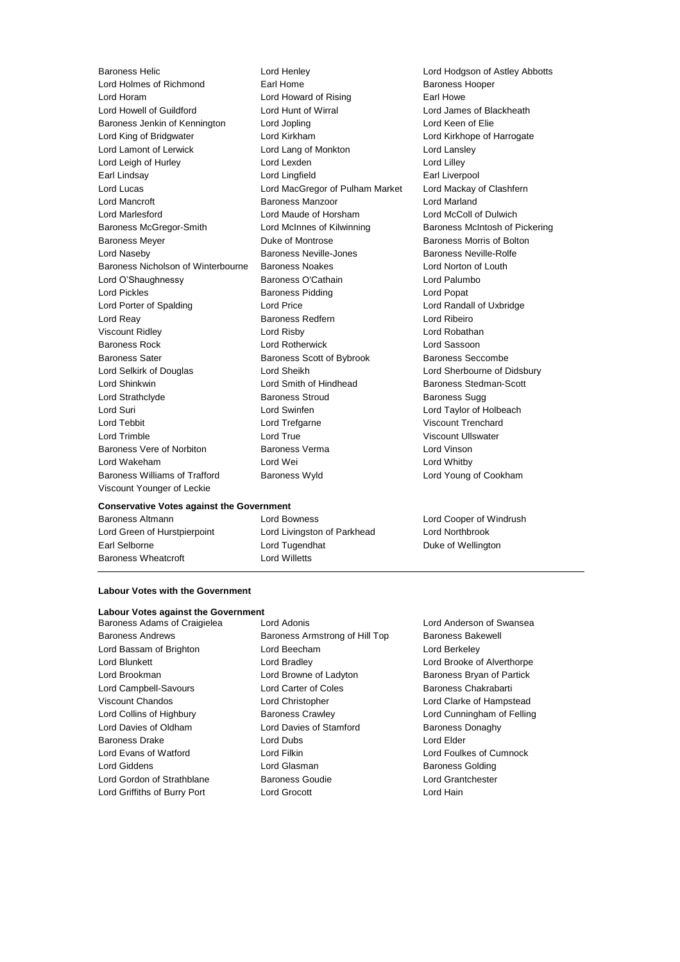Lord Holmes of Richmond **Earl Home** Earl Home **Baroness Hooper** Lord Horam Lord Howard of Rising Earl Howe Lord Howell of Guildford Lord Hunt of Wirral Lord James of Blackheath Baroness Jenkin of Kennington Lord Jopling Lord Keen of Elie Lord King of Bridgwater Lord Kirkham Lord Kirkhope of Harrogate Lord Lamont of Lerwick Lord Lord Lang of Monkton Lord Lansley Lord Leigh of Hurley **Lord Lexden** Lord Lexden **Lord Lord Lilley** Earl Lindsay Lord Lingfield Earl Liverpool Lord Lucas Lord MacGregor of Pulham Market Lord Mackay of Clashfern Lord Mancroft **Baroness Manzoor Baroness Manzoor** Lord Marland Lord Marlesford Lord Maude of Horsham Lord McColl of Dulwich Baroness McGregor-Smith Lord McInnes of Kilwinning Baroness McIntosh of Pickering Baroness Meyer **Baroness Mortis Community** Duke of Montrose **Baroness Morris of Bolton** Lord Naseby **Baroness Neville-Jones** Baroness Neville-Rolfe Baroness Nicholson of Winterbourne Baroness Noakes Lord Norton of Louth Lord O'Shaughnessy Baroness O'Cathain Lord Palumbo Lord Pickles **Baroness Pidding** Lord Popat Lord Porter of Spalding Lord Price Lord Randall of Uxbridge Lord Reay **Baroness Redfern Constructed Ribeiro Lord Ribeiro** Viscount Ridley Lord Risby Lord Robathan Baroness Rock Lord Rotherwick Lord Sassoon Baroness Sater **Baroness Scott of Bybrook** Baroness Seccombe Lord Selkirk of Douglas Lord Sheikh Lord Sherbourne of Didsbury Lord Shinkwin **Lord Smith of Hindhead** Baroness Stedman-Scott Lord Strathclyde Baroness Stroud Baroness Sugg Lord Suri Lord Swinfen Lord Taylor of Holbeach Lord Tebbit Lord Trefgarne Viscount Trenchard Lord Trimble Lord True Viscount Ullswater Baroness Vere of Norbiton Baroness Verma Lord Vinson Lord Wakeham Lord Wei Lord Whitby Baroness Williams of Trafford Baroness Wyld Lord Young of Cookham Viscount Younger of Leckie

Baroness Helic Lord Henley Lord Hodgson of Astley Abbotts

#### **Conservative Votes against the Government**

Baroness Altmann **Lord Bowness** Lord Cooper of Windrush Lord Green of Hurstpierpoint Lord Livingston of Parkhead Lord Northbrook Earl Selborne Lord Tugendhat Duke of Wellington Baroness Wheatcroft **Lord Willetts** 

### **Labour Votes with the Government**

### **Labour Votes against the Government**

Baroness Andrews **Baroness Armstrong of Hill Top** Baroness Bakewell Lord Bassam of Brighton Lord Beecham Lord Berkeley Lord Blunkett Lord Bradley Lord Brooke of Alverthorpe Lord Brookman **Lord Browne of Ladyton** Baroness Bryan of Partick Lord Campbell-Savours **Lord Carter of Coles** Baroness Chakrabarti Viscount Chandos Lord Christopher Lord Clarke of Hampstead Lord Collins of Highbury **Baroness Crawley Colling Lord Cunningham of Felling** Lord Davies of Oldham Lord Davies of Stamford Baroness Donaghy Baroness Drake Lord Dubs Lord Elder Lord Evans of Watford Lord Filkin Lord Foulkes of Cumnock Lord Giddens Lord Glasman Baroness Golding Lord Gordon of Strathblane Baroness Goudie Lord Grantchester Lord Griffiths of Burry Port Lord Grocott Lord Hain

Baroness Adams of Craigielea Lord Adonis Lord Anderson of Swansea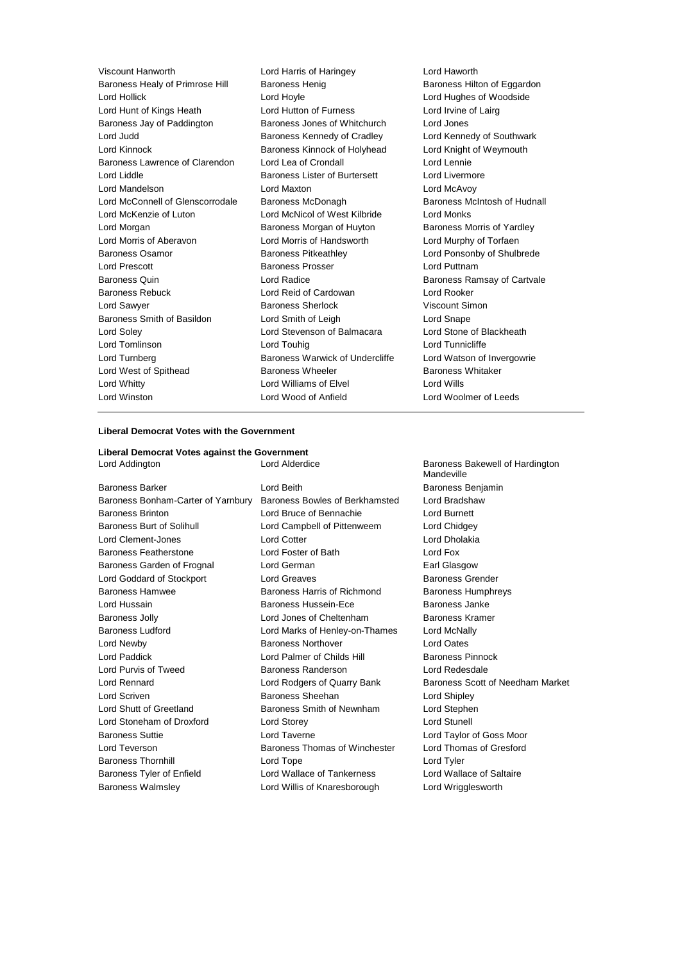Viscount Hanworth **Lord Harris of Haringey** Lord Havorth Lord Haworth Lord Haworth Cord Harris of Haringey **Cord Harris of Harris of Harris of Harris of Harris of Harris of Harris of Arris Baroness Hilter Baroness Hilter B** Baroness Healy of Primrose Hill Baroness Henig Baroness Hensen Baroness Hilton of Eggardon Lord Hollick Lord Hoyle Lord Hughes of Woodside Lord Hunt of Kings Heath Lord Hutton of Furness Lord Irvine of Lairg Baroness Jay of Paddington Baroness Jones of Whitchurch Lord Jones Lord Judd **Baroness Kennedy of Cradley** Lord Kennedy of Southwark Lord Kinnock **Baroness Kinnock of Holyhead** Lord Knight of Weymouth Baroness Lawrence of Clarendon Lord Lea of Crondall Lord Lord Lennie Lord Liddle Baroness Lister of Burtersett Lord Livermore Lord Mandelson Lord Maxton Lord McAvoy Lord McConnell of Glenscorrodale Baroness McDonagh Baroness McIntosh of Hudnall Lord McKenzie of Luton Lord McNicol of West Kilbride Lord Monks Lord Morgan Baroness Morgan of Huyton Baroness Morris of Yardley Lord Morris of Aberavon Lord Morris of Handsworth Lord Murphy of Torfaen Baroness Osamor Baroness Pitkeathley Lord Ponsonby of Shulbrede Lord Prescott **Baroness Prosser** Lord Puttnam Baroness Quin **Baroness** Quin **Lord Radice Baroness Ramsay of Cartvale** Baroness Rebuck Lord Reid of Cardowan Lord Rooker Lord Sawyer **Baroness Sherlock** Viscount Simon Baroness Smith of Basildon Lord Smith of Leigh Lord Snape Lord Soley Lord Stevenson of Balmacara Lord Stone of Blackheath Lord Tomlinson Lord Touhig Lord Tunnicliffe Lord Turnberg **Baroness Warwick of Undercliffe** Lord Watson of Invergowrie Lord West of Spithead **Baroness Wheeler** Baroness Wheeler **Baroness Whitaker** Lord Whitty Lord Williams of Elvel Lord Wills Lord Winston Lord Wood of Anfield Lord Woolmer of Leeds

### **Liberal Democrat Votes with the Government**

**Liberal Democrat Votes against the Government** Lord Addington **Lord Alderdice** Baroness Bakewell of Hardington

Baroness Bonham-Carter of Yarnbury Baroness Bowles of Berkhamsted Lord Bradshaw Baroness Brinton Lord Bruce of Bennachie Lord Burnett Baroness Burt of Solihull Lord Campbell of Pittenweem Lord Chidgey Lord Clement-Jones Lord Cotter Lord Cotter Lord Dholakia Baroness Featherstone Lord Foster of Bath Lord Fox Baroness Garden of Frognal Lord German **Earl Glasgow** Lord Goddard of Stockport Lord Greaves **Baroness Grender** Baroness Grender Baroness Hamwee Baroness Harris of Richmond Baroness Humphreys Lord Hussain Baroness Hussein-Ece Baroness Janke Baroness Jolly Lord Jones of Cheltenham Baroness Kramer Baroness Ludford Lord Marks of Henley-on-Thames Lord McNally Lord Newby Baroness Northover Lord Oates Lord Paddick **Lord Palmer of Childs Hill** Baroness Pinnock Lord Purvis of Tweed Baroness Randerson Lord Redesdale Lord Scriven **Baroness Sheehan** Lord Shipley Lord Shutt of Greetland **Baroness Smith of Newnham** Lord Stephen Lord Stoneham of Droxford Lord Storey Lord Stunell Baroness Suttie Lord Taverne Lord Taylor of Goss Moor Lord Teverson **Baroness Thomas of Winchester** Lord Thomas of Gresford **Baroness Thornhill Lord Tope Lord Tope Lord Tyler Lord Tyler** Baroness Tyler of Enfield Lord Wallace of Tankerness Lord Wallace of Saltaire Baroness Walmsley Lord Willis of Knaresborough Lord Wrigglesworth

Baroness Barker Lord Beith Baroness Benjamin

Mandeville Lord Rennard Lord Rodgers of Quarry Bank Baroness Scott of Needham Market